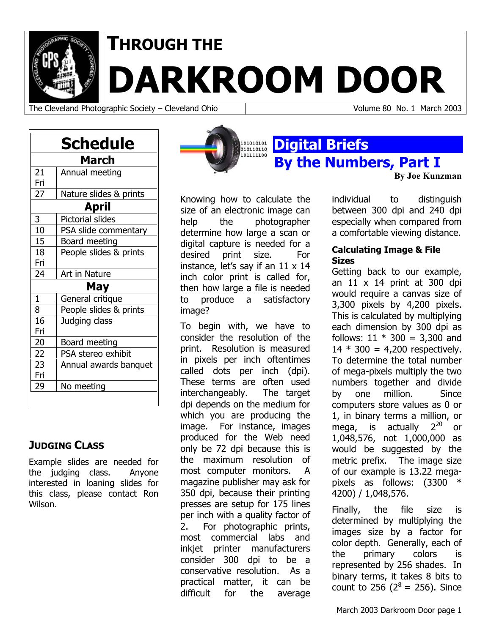

# **THROUGH THE**

**DARKROOM DOOR** 

The Cleveland Photographic Society – Cleveland Ohio Volume 80 No. 1 March 2003

**By Joe Kunzman**

|              | <b>Schedule</b>         |  |
|--------------|-------------------------|--|
|              | March                   |  |
| 21           | Annual meeting          |  |
| Fri          |                         |  |
| 27           | Nature slides & prints  |  |
| April        |                         |  |
| 3            | <b>Pictorial slides</b> |  |
| 10           | PSA slide commentary    |  |
| 15           | Board meeting           |  |
| 18           | People slides & prints  |  |
| Fri          |                         |  |
| 24           | Art in Nature           |  |
|              | May                     |  |
| $\mathbf{1}$ | General critique        |  |
| 8            | People slides & prints  |  |
| 16           | Judging class           |  |
| Fri          |                         |  |
| 20           | Board meeting           |  |
| 22           | PSA stereo exhibit      |  |
| 23           | Annual awards banquet   |  |
| Fri          |                         |  |
| 29           | No meeting              |  |

## **JUDGING CLASS**

Example slides are needed for the judging class. Anyone interested in loaning slides for this class, please contact Ron Wilson.



Knowing how to calculate the size of an electronic image can help the photographer determine how large a scan or digital capture is needed for a desired print size. For instance, let's say if an 11 x 14 inch color print is called for, then how large a file is needed to produce a satisfactory image?

To begin with, we have to consider the resolution of the print. Resolution is measured in pixels per inch oftentimes called dots per inch (dpi). These terms are often used interchangeably. The target dpi depends on the medium for which you are producing the image. For instance, images produced for the Web need only be 72 dpi because this is the maximum resolution of most computer monitors. A magazine publisher may ask for 350 dpi, because their printing presses are setup for 175 lines per inch with a quality factor of 2. For photographic prints, most commercial labs and inkiet printer manufacturers consider 300 dpi to be a conservative resolution. As a practical matter, it can be difficult for the average

individual to distinguish between 300 dpi and 240 dpi especially when compared from a comfortable viewing distance.

#### **Calculating Image & File Sizes**

**By the Numbers, Part I** 

Getting back to our example, an  $11 \times 14$  print at 300 dpi would require a canvas size of 3,300 pixels by 4,200 pixels. This is calculated by multiplying each dimension by 300 dpi as follows:  $11 * 300 = 3,300$  and  $14 * 300 = 4,200$  respectively. To determine the total number of mega-pixels multiply the two numbers together and divide by one million. Since computers store values as 0 or 1, in binary terms a million, or mega, is actually  $2^{20}$  or 1,048,576, not 1,000,000 as would be suggested by the metric prefix. The image size of our example is 13.22 megapixels as follows: (3300 \* 4200) / 1,048,576.

Finally, the file size is determined by multiplying the images size by a factor for color depth. Generally, each of the primary colors is represented by 256 shades. In binary terms, it takes 8 bits to count to 256 ( $2^8$  = 256). Since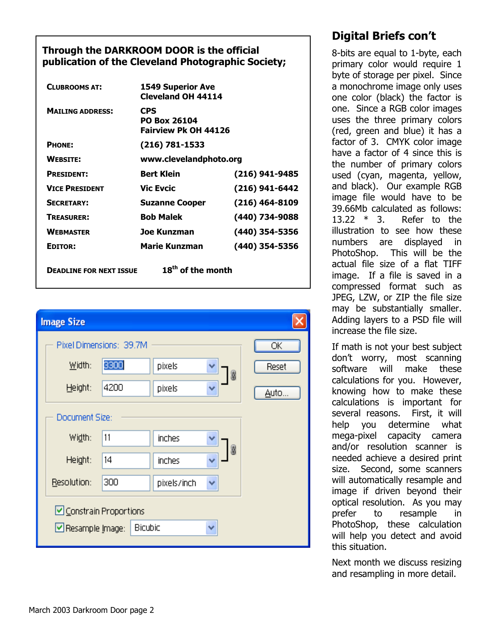#### **Through the DARKROOM DOOR is the official publication of the Cleveland Photographic Society;**

| <b>CLUBROOMS AT:</b>           | <b>1549 Superior Ave</b><br><b>Cleveland OH 44114</b>     |                  |
|--------------------------------|-----------------------------------------------------------|------------------|
| <b>MAILING ADDRESS:</b>        | CPS<br><b>PO Box 26104</b><br><b>Fairview Pk OH 44126</b> |                  |
| PHONE:                         | (216) 781-1533                                            |                  |
| <b>WEBSITE:</b>                | www.clevelandphoto.org                                    |                  |
| <b>PRESIDENT:</b>              | <b>Bert Klein</b>                                         | (216) 941-9485   |
| <b>VICE PRESIDENT</b>          | <b>Vic Evcic</b>                                          | (216) 941-6442   |
| <b>SECRETARY:</b>              | <b>Suzanne Cooper</b>                                     | $(216)$ 464-8109 |
| <b>TREASURER:</b>              | <b>Bob Malek</b>                                          | (440) 734-9088   |
| <b>WEBMASTER</b>               | Joe Kunzman                                               | (440) 354-5356   |
| EDITOR:                        | <b>Marie Kunzman</b>                                      | (440) 354-5356   |
| <b>DEADLINE FOR NEXT ISSUE</b> | 18 <sup>th</sup> of the month                             |                  |



# **Digital Briefs con't**

8-bits are equal to 1-byte, each primary color would require 1 byte of storage per pixel. Since a monochrome image only uses one color (black) the factor is one. Since a RGB color images uses the three primary colors (red, green and blue) it has a factor of 3. CMYK color image have a factor of 4 since this is the number of primary colors used (cyan, magenta, yellow, and black). Our example RGB image file would have to be 39.66Mb calculated as follows: 13.22 \* 3. Refer to the illustration to see how these numbers are displayed in PhotoShop. This will be the actual file size of a flat TIFF image. If a file is saved in a compressed format such as JPEG, LZW, or ZIP the file size may be substantially smaller. Adding layers to a PSD file will increase the file size.

If math is not your best subject don't worry, most scanning software will make these calculations for you. However, knowing how to make these calculations is important for several reasons. First, it will help you determine what mega-pixel capacity camera and/or resolution scanner is needed achieve a desired print size. Second, some scanners will automatically resample and image if driven beyond their optical resolution. As you may prefer to resample in PhotoShop, these calculation will help you detect and avoid this situation.

Next month we discuss resizing and resampling in more detail.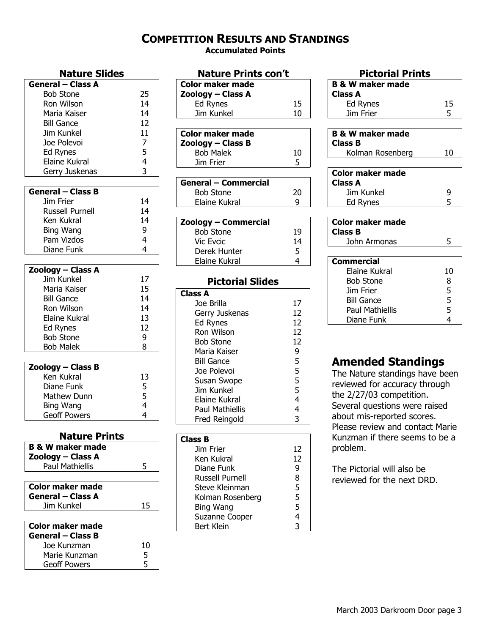#### **COMPETITION RESULTS AND STANDINGS**

**Accumulated Points** 

| <b>General - Class A</b> |                |
|--------------------------|----------------|
| <b>Bob Stone</b>         | 25             |
| Ron Wilson               | 14             |
| Maria Kaiser             | 14             |
| <b>Bill Gance</b>        | 12             |
| Jim Kunkel               | 11             |
| Joe Polevoi              | 7              |
| Ed Rynes                 | 5              |
| Elaine Kukral            | $\overline{4}$ |
| Gerry Juskenas           | 3              |

| <b>General – Class B</b> |    |
|--------------------------|----|
| Jim Frier                | 14 |
| <b>Russell Purnell</b>   | 14 |
| Ken Kukral               | 14 |
| Bing Wang                | q  |
| Pam Vizdos               |    |
| Diane Funk               |    |

| Zoology – Class A   |    |
|---------------------|----|
| <b>Jim Kunkel</b>   | 17 |
| Maria Kaiser        | 15 |
| <b>Bill Gance</b>   | 14 |
| Ron Wilson          | 14 |
| Elaine Kukral       | 13 |
| Ed Rynes            | 12 |
| <b>Bob Stone</b>    | 9  |
| <b>Bob Malek</b>    | 8  |
|                     |    |
| Zoology – Class B   |    |
| Ken Kukral          | 13 |
| Diane Funk          | 5  |
| Mathew Dunn         | 5  |
| Bing Wang           | 4  |
| <b>Geoff Powers</b> | 4  |

#### **Nature Prints**

| <b>B &amp; W maker made</b> |    |
|-----------------------------|----|
| Zoology – Class A           |    |
| <b>Paul Mathiellis</b>      | 5  |
|                             |    |
| Color maker made            |    |
| <b>General – Class A</b>    |    |
| Jim Kunkel                  | 15 |
|                             |    |
| <b>Color maker made</b>     |    |
| <b>General - Class B</b>    |    |
| Joe Kunzman                 | 10 |
| Marie Kunzman               | 5  |
| <b>Geoff Powers</b>         | 5  |

| <b>Nature Prints con't</b>  |    |
|-----------------------------|----|
| <b>Color maker made</b>     |    |
| Zoology – Class A           |    |
| Ed Rynes                    | 15 |
| Jim Kunkel                  | 10 |
|                             |    |
| <b>Color maker made</b>     |    |
| Zoology - Class B           |    |
| <b>Bob Malek</b>            | 10 |
| Jim Frier                   | 5  |
|                             |    |
| <b>General - Commercial</b> |    |
| <b>Bob Stone</b>            | 20 |
| Elaine Kukral               | 9  |
|                             |    |
| Zoology – Commercial        |    |
| <b>Bob Stone</b>            | 19 |
| <b>Vic Evcic</b>            | 14 |
| Derek Hunter                | 5  |
| Elaine Kukral               | 4  |
|                             |    |
| <b>Pictorial Slides</b>     |    |
| <b>Class A</b>              |    |
| Joe Brilla                  | 17 |
| Gerry Juskenas              | 12 |
| Ed Rynes                    | 12 |
| Ron Wilson                  | 12 |
| Bob Stone                   | 12 |

| Jim Kunkel             | 5  |
|------------------------|----|
| Elaine Kukral          | 4  |
| Paul Mathiellis        | 4  |
| Fred Reingold          | 3  |
|                        |    |
| <b>Class B</b>         |    |
| Jim Frier              | 12 |
|                        | 12 |
| Ken Kukral             |    |
| Diane Funk             | 9  |
| <b>Russell Purnell</b> | 8  |
| Steve Kleinman         | 5  |

Bing Wang 5 Suzanne Cooper 4 Bert Klein 3

Maria Kaiser 9 Bill Gance 5 Joe Polevoi 5 Susan Swope 5

#### **Pictorial Prints B & W maker made Class A**  Ed Rynes 15 Jim Frier 5 **B & W maker made Class B**  Kolman Rosenberg 10 **Color maker made Class A**  Jim Kunkel 9 Ed Rynes 5 **Color maker made Class B**  John Armonas 5

| Commercial             |    |
|------------------------|----|
| Elaine Kukral          | 10 |
| <b>Bob Stone</b>       | 8  |
| Jim Frier              | 5  |
| <b>Bill Gance</b>      | 5  |
| <b>Paul Mathiellis</b> | 5  |
| Diane Funk             |    |

## **Amended Standings**

The Nature standings have been reviewed for accuracy through the 2/27/03 competition. Several questions were raised about mis-reported scores. Please review and contact Marie Kunzman if there seems to be a problem.

The Pictorial will also be reviewed for the next DRD.